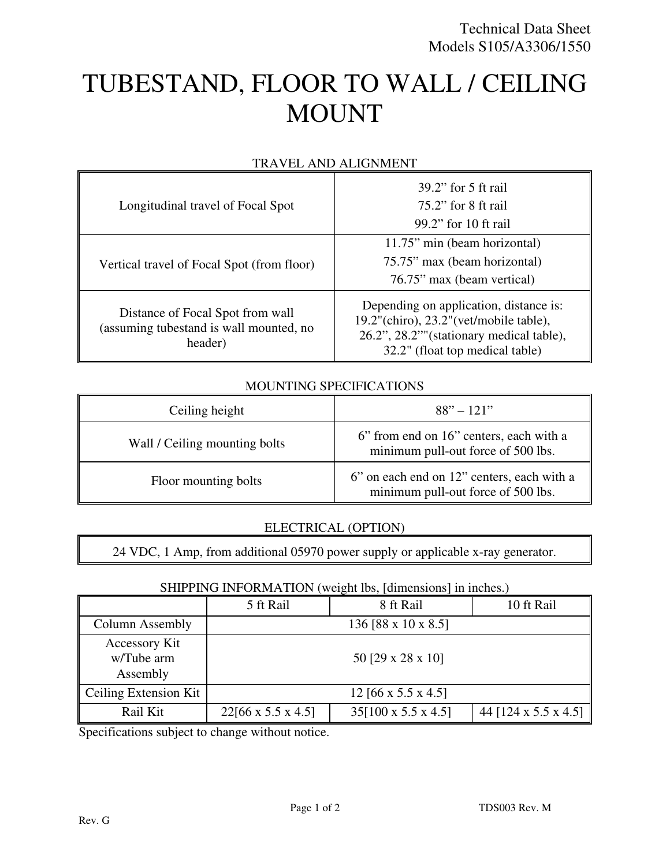# TUBESTAND, FLOOR TO WALL / CEILING MOUNT

| Longitudinal travel of Focal Spot                                                      | $39.2$ " for 5 ft rail<br>$75.2$ " for 8 ft rail<br>99.2" for 10 ft rail                                                                                              |  |
|----------------------------------------------------------------------------------------|-----------------------------------------------------------------------------------------------------------------------------------------------------------------------|--|
| Vertical travel of Focal Spot (from floor)                                             | 11.75" min (beam horizontal)<br>75.75" max (beam horizontal)<br>76.75" max (beam vertical)                                                                            |  |
| Distance of Focal Spot from wall<br>(assuming tubestand is wall mounted, no<br>header) | Depending on application, distance is:<br>$19.2$ "(chiro), $23.2$ "(vet/mobile table),<br>26.2", 28.2""(stationary medical table),<br>32.2" (float top medical table) |  |

## TRAVEL AND ALIGNMENT

#### MOUNTING SPECIFICATIONS

| Ceiling height                | $88" - 121"$                                                                     |  |
|-------------------------------|----------------------------------------------------------------------------------|--|
| Wall / Ceiling mounting bolts | 6" from end on 16" centers, each with a<br>minimum pull-out force of 500 lbs.    |  |
| Floor mounting bolts          | 6" on each end on 12" centers, each with a<br>minimum pull-out force of 500 lbs. |  |

## ELECTRICAL (OPTION)

24 VDC, 1 Amp, from additional 05970 power supply or applicable x-ray generator.

## SHIPPING INFORMATION (weight lbs, [dimensions] in inches.)

|                                                | 5 ft Rail                      | 8 ft Rail                       | 10 ft Rail           |  |
|------------------------------------------------|--------------------------------|---------------------------------|----------------------|--|
| Column Assembly                                | 136 [88 x 10 x 8.5]            |                                 |                      |  |
| <b>Accessory Kit</b><br>w/Tube arm<br>Assembly | 50 [29 x 28 x 10]              |                                 |                      |  |
| Ceiling Extension Kit                          | 12 [66 x 5.5 x 4.5]            |                                 |                      |  |
| Rail Kit                                       | $22[66 \times 5.5 \times 4.5]$ | $35[100 \times 5.5 \times 4.5]$ | 44 [124 x 5.5 x 4.5] |  |

Specifications subject to change without notice.